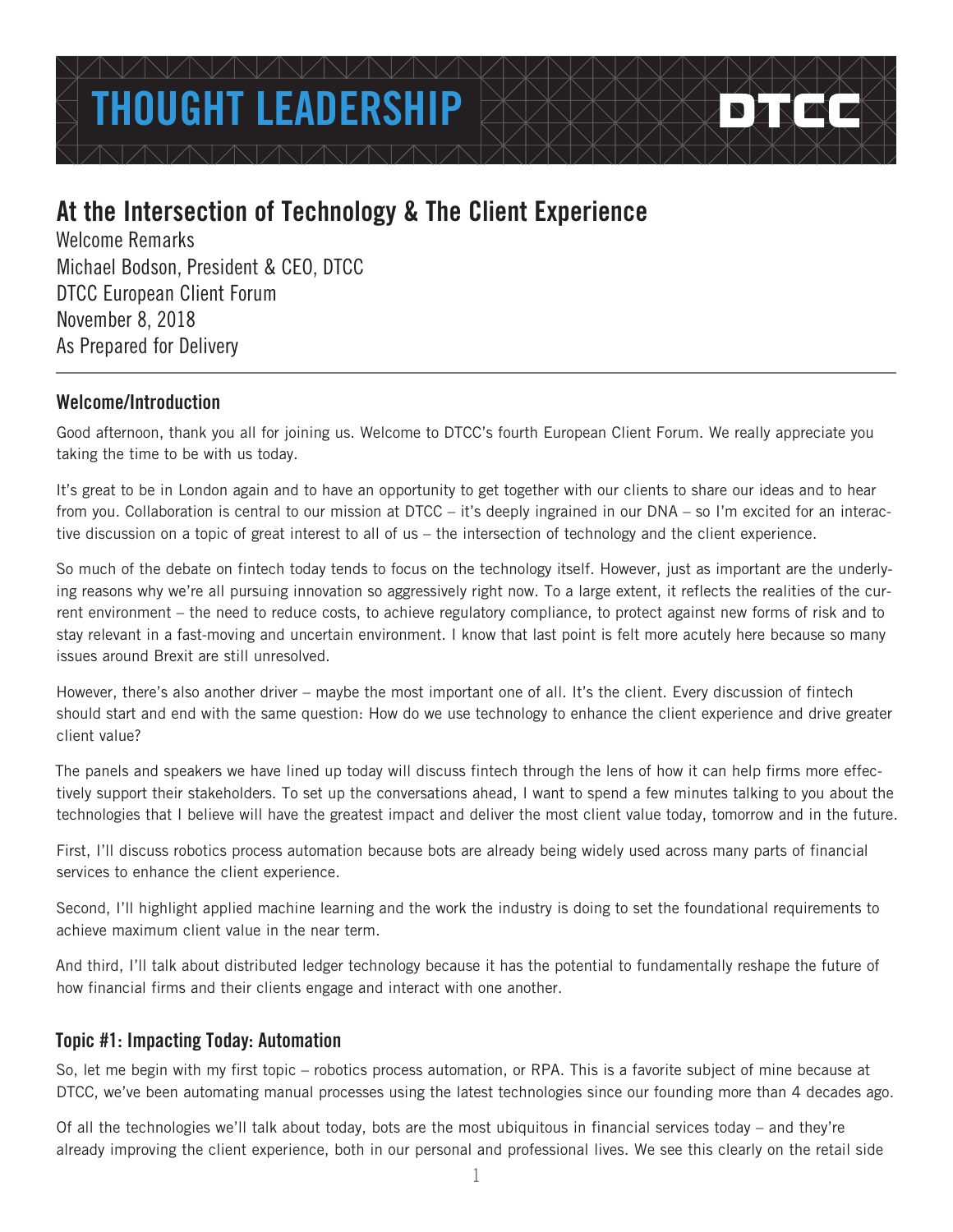# THOUGHT I FADFRSH

# At the Intersection of Technology & The Client Experience

Welcome Remarks Michael Bodson, President & CEO, DTCC DTCC European Client Forum November 8, 2018 As Prepared for Delivery

# Welcome/Introduction

Good afternoon, thank you all for joining us. Welcome to DTCC's fourth European Client Forum. We really appreciate you taking the time to be with us today.

It's great to be in London again and to have an opportunity to get together with our clients to share our ideas and to hear from you. Collaboration is central to our mission at DTCC – it's deeply ingrained in our DNA – so I'm excited for an interactive discussion on a topic of great interest to all of us – the intersection of technology and the client experience.

So much of the debate on fintech today tends to focus on the technology itself. However, just as important are the underlying reasons why we're all pursuing innovation so aggressively right now. To a large extent, it reflects the realities of the current environment – the need to reduce costs, to achieve regulatory compliance, to protect against new forms of risk and to stay relevant in a fast-moving and uncertain environment. I know that last point is felt more acutely here because so many issues around Brexit are still unresolved.

However, there's also another driver – maybe the most important one of all. It's the client. Every discussion of fintech should start and end with the same question: How do we use technology to enhance the client experience and drive greater client value?

The panels and speakers we have lined up today will discuss fintech through the lens of how it can help firms more effectively support their stakeholders. To set up the conversations ahead, I want to spend a few minutes talking to you about the technologies that I believe will have the greatest impact and deliver the most client value today, tomorrow and in the future.

First, I'll discuss robotics process automation because bots are already being widely used across many parts of financial services to enhance the client experience.

Second, I'll highlight applied machine learning and the work the industry is doing to set the foundational requirements to achieve maximum client value in the near term.

And third, I'll talk about distributed ledger technology because it has the potential to fundamentally reshape the future of how financial firms and their clients engage and interact with one another.

# Topic #1: Impacting Today: Automation

So, let me begin with my first topic – robotics process automation, or RPA. This is a favorite subject of mine because at DTCC, we've been automating manual processes using the latest technologies since our founding more than 4 decades ago.

Of all the technologies we'll talk about today, bots are the most ubiquitous in financial services today – and they're already improving the client experience, both in our personal and professional lives. We see this clearly on the retail side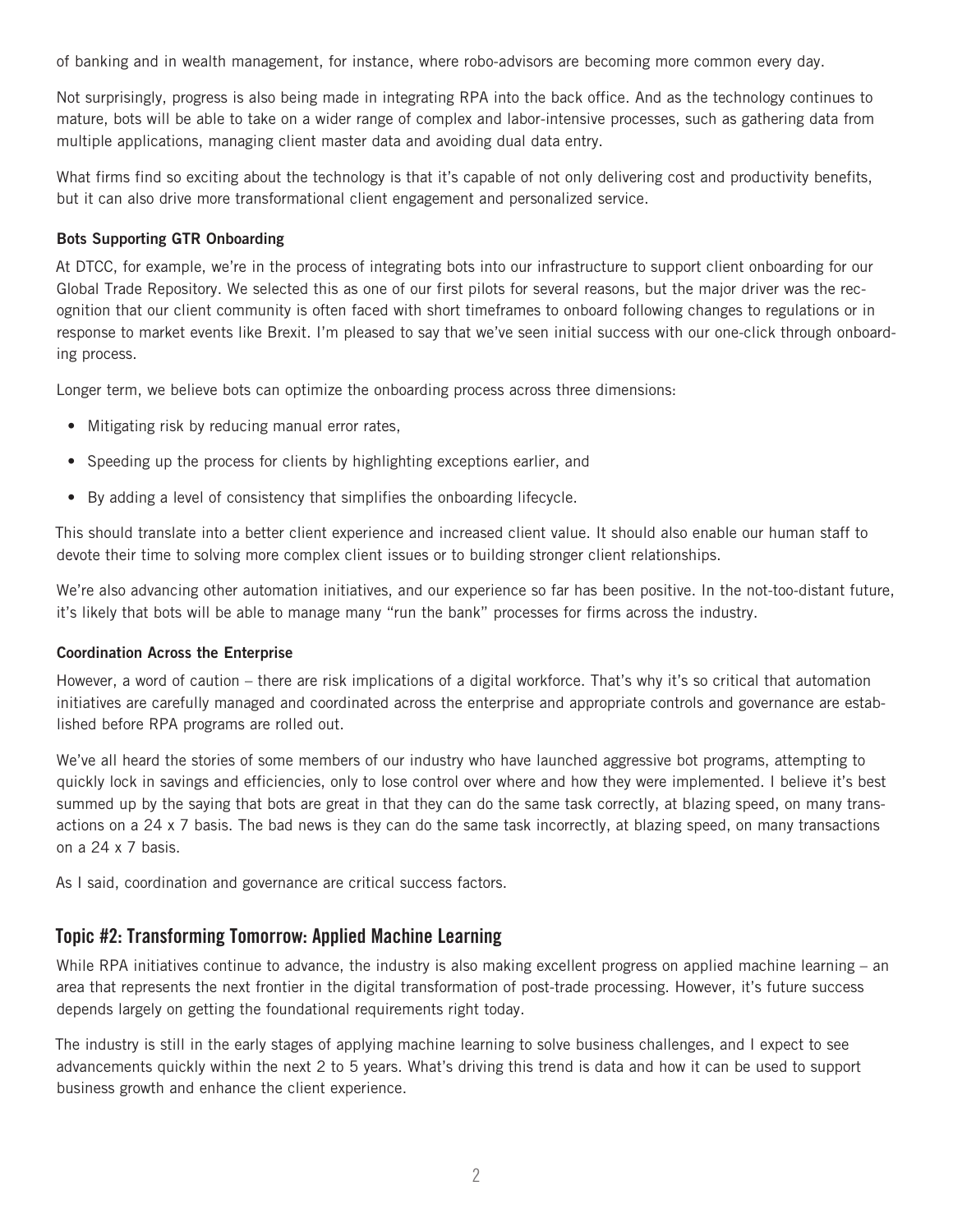of banking and in wealth management, for instance, where robo-advisors are becoming more common every day.

Not surprisingly, progress is also being made in integrating RPA into the back office. And as the technology continues to mature, bots will be able to take on a wider range of complex and labor-intensive processes, such as gathering data from multiple applications, managing client master data and avoiding dual data entry.

What firms find so exciting about the technology is that it's capable of not only delivering cost and productivity benefits, but it can also drive more transformational client engagement and personalized service.

#### Bots Supporting GTR Onboarding

At DTCC, for example, we're in the process of integrating bots into our infrastructure to support client onboarding for our Global Trade Repository. We selected this as one of our first pilots for several reasons, but the major driver was the recognition that our client community is often faced with short timeframes to onboard following changes to regulations or in response to market events like Brexit. I'm pleased to say that we've seen initial success with our one-click through onboarding process.

Longer term, we believe bots can optimize the onboarding process across three dimensions:

- Mitigating risk by reducing manual error rates,
- Speeding up the process for clients by highlighting exceptions earlier, and
- By adding a level of consistency that simplifies the onboarding lifecycle.

This should translate into a better client experience and increased client value. It should also enable our human staff to devote their time to solving more complex client issues or to building stronger client relationships.

We're also advancing other automation initiatives, and our experience so far has been positive. In the not-too-distant future, it's likely that bots will be able to manage many "run the bank" processes for firms across the industry.

#### Coordination Across the Enterprise

However, a word of caution – there are risk implications of a digital workforce. That's why it's so critical that automation initiatives are carefully managed and coordinated across the enterprise and appropriate controls and governance are established before RPA programs are rolled out.

We've all heard the stories of some members of our industry who have launched aggressive bot programs, attempting to quickly lock in savings and efficiencies, only to lose control over where and how they were implemented. I believe it's best summed up by the saying that bots are great in that they can do the same task correctly, at blazing speed, on many transactions on a 24 x 7 basis. The bad news is they can do the same task incorrectly, at blazing speed, on many transactions on a 24 x 7 basis.

As I said, coordination and governance are critical success factors.

### Topic #2: Transforming Tomorrow: Applied Machine Learning

While RPA initiatives continue to advance, the industry is also making excellent progress on applied machine learning – an area that represents the next frontier in the digital transformation of post-trade processing. However, it's future success depends largely on getting the foundational requirements right today.

The industry is still in the early stages of applying machine learning to solve business challenges, and I expect to see advancements quickly within the next 2 to 5 years. What's driving this trend is data and how it can be used to support business growth and enhance the client experience.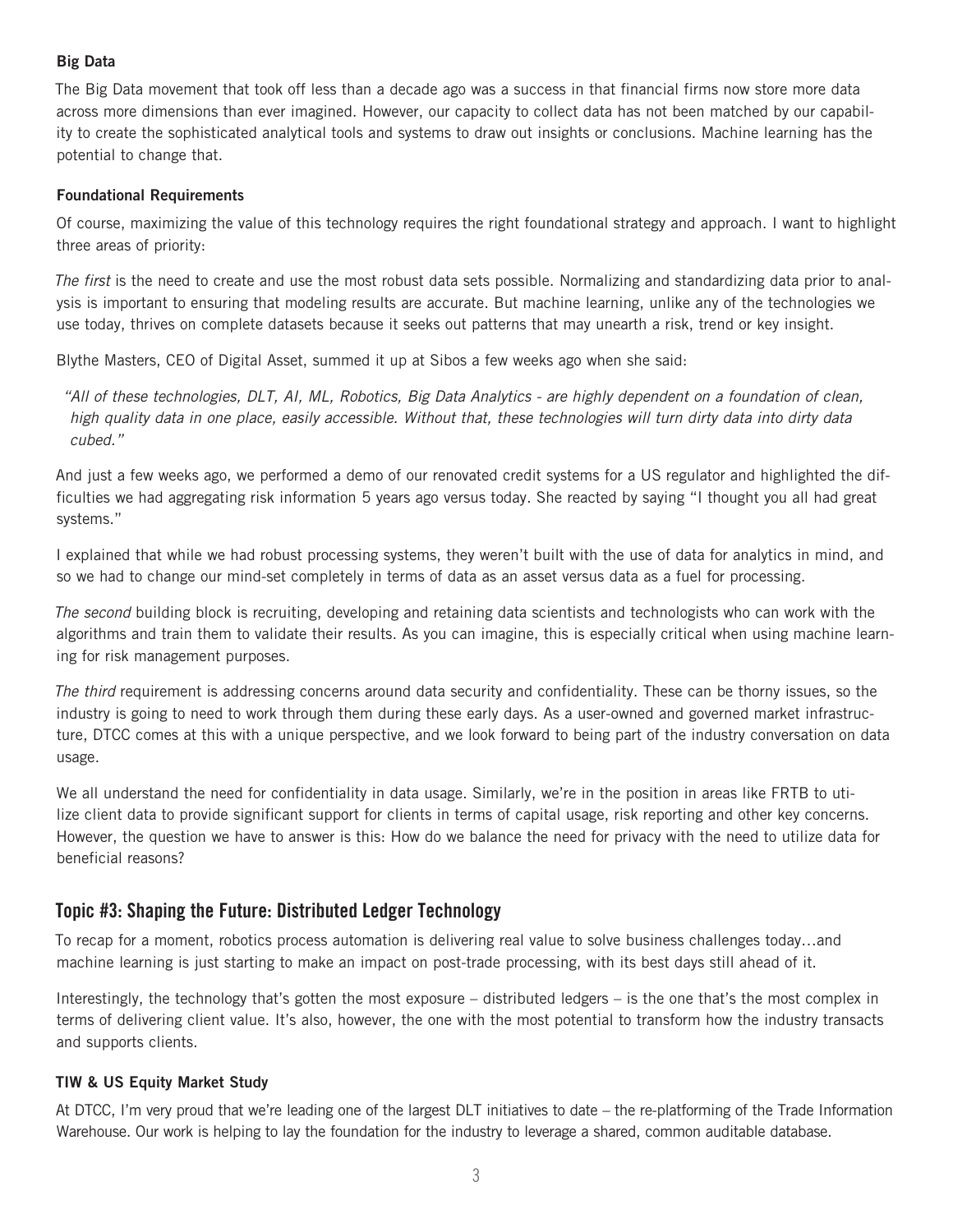#### Big Data

The Big Data movement that took off less than a decade ago was a success in that financial firms now store more data across more dimensions than ever imagined. However, our capacity to collect data has not been matched by our capability to create the sophisticated analytical tools and systems to draw out insights or conclusions. Machine learning has the potential to change that.

#### Foundational Requirements

Of course, maximizing the value of this technology requires the right foundational strategy and approach. I want to highlight three areas of priority:

*The first* is the need to create and use the most robust data sets possible. Normalizing and standardizing data prior to analysis is important to ensuring that modeling results are accurate. But machine learning, unlike any of the technologies we use today, thrives on complete datasets because it seeks out patterns that may unearth a risk, trend or key insight.

Blythe Masters, CEO of Digital Asset, summed it up at Sibos a few weeks ago when she said:

*"All of these technologies, DLT, AI, ML, Robotics, Big Data Analytics - are highly dependent on a foundation of clean, high quality data in one place, easily accessible. Without that, these technologies will turn dirty data into dirty data cubed."* 

And just a few weeks ago, we performed a demo of our renovated credit systems for a US regulator and highlighted the difficulties we had aggregating risk information 5 years ago versus today. She reacted by saying "I thought you all had great systems."

I explained that while we had robust processing systems, they weren't built with the use of data for analytics in mind, and so we had to change our mind-set completely in terms of data as an asset versus data as a fuel for processing.

*The second* building block is recruiting, developing and retaining data scientists and technologists who can work with the algorithms and train them to validate their results. As you can imagine, this is especially critical when using machine learning for risk management purposes.

*The third* requirement is addressing concerns around data security and confidentiality. These can be thorny issues, so the industry is going to need to work through them during these early days. As a user-owned and governed market infrastructure, DTCC comes at this with a unique perspective, and we look forward to being part of the industry conversation on data usage.

We all understand the need for confidentiality in data usage. Similarly, we're in the position in areas like FRTB to utilize client data to provide significant support for clients in terms of capital usage, risk reporting and other key concerns. However, the question we have to answer is this: How do we balance the need for privacy with the need to utilize data for beneficial reasons?

# Topic #3: Shaping the Future: Distributed Ledger Technology

To recap for a moment, robotics process automation is delivering real value to solve business challenges today…and machine learning is just starting to make an impact on post-trade processing, with its best days still ahead of it.

Interestingly, the technology that's gotten the most exposure – distributed ledgers – is the one that's the most complex in terms of delivering client value. It's also, however, the one with the most potential to transform how the industry transacts and supports clients.

#### TIW & US Equity Market Study

At DTCC, I'm very proud that we're leading one of the largest DLT initiatives to date – the re-platforming of the Trade Information Warehouse. Our work is helping to lay the foundation for the industry to leverage a shared, common auditable database.